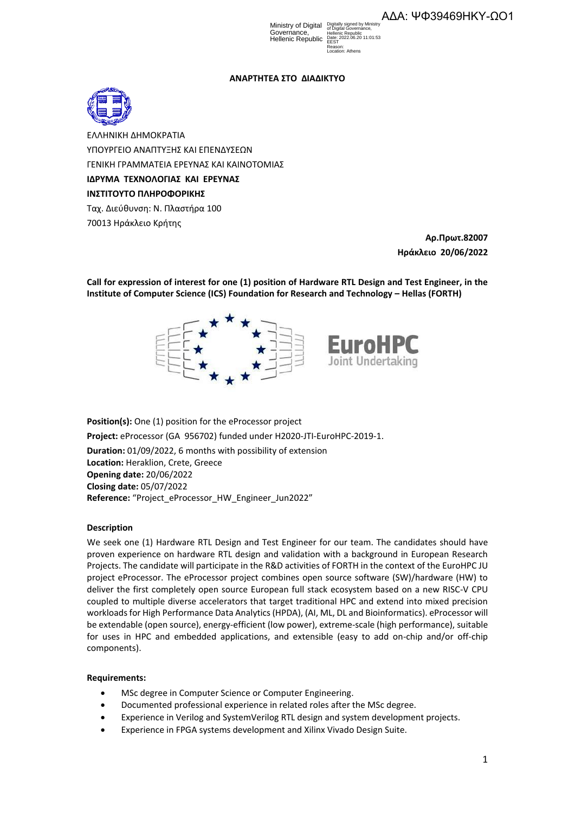Ministry of Digital Governance, Hellenic Republic Digitally signed by Ministry of Digital Governance, Hellenic Republic Date: 2022.06.20 11:01:53 **FEST** Reason: Location: Athens

# **ΑΝΑΡΤΗΤΕΑ ΣΤO ΔΙΑΔΙΚΤΥΟ**



ΕΛΛΗΝΙΚΗ ΔΗΜΟΚΡΑΤΙΑ ΥΠΟΥΡΓΕΙΟ ΑΝΑΠΤΥΞΗΣ ΚΑΙ ΕΠΕΝΔΥΣΕΩΝ ΓΕΝΙΚΗ ΓΡΑΜΜΑΤΕΙΑ ΕΡΕΥΝΑΣ ΚΑΙ ΚΑΙΝΟΤΟΜΙΑΣ **ΙΔΡΥΜΑ ΤΕΧΝΟΛΟΓΙΑΣ ΚΑΙ ΕΡΕΥΝΑΣ ΙΝΣΤΙΤΟΥΤΟ ΠΛΗΡΟΦΟΡΙΚΗΣ** Ταχ. Διεύθυνση: Ν. Πλαστήρα 100 70013 Ηράκλειο Κρήτης

> **Αρ.Πρωτ.82007 Ηράκλειο 20/06/2022**

**Call for expression of interest for one (1) position of Hardware RTL Design and Test Engineer, in the Institute of Computer Science (ICS) Foundation for Research and Technology – Hellas (FORTH)**



**Position(s):** One (1) position for the eProcessor project **Project:** eProcessor (GA 956702) funded under H2020-JTI-EuroHPC-2019-1. **Duration:** 01/09/2022, 6 months with possibility of extension **Location:** Heraklion, Crete, Greece **Opening date:** 20/06/2022 **Closing date:** 05/07/2022 Reference: "Project\_eProcessor\_HW\_Engineer\_Jun2022"

## **Description**

We seek one (1) Hardware RTL Design and Test Engineer for our team. The candidates should have proven experience on hardware RTL design and validation with a background in European Research Projects. The candidate will participate in the R&D activities of FORTH in the context of the EuroHPC JU project eProcessor. The eProcessor project combines open source software (SW)/hardware (HW) to deliver the first completely open source European full stack ecosystem based on a new RISC-V CPU coupled to multiple diverse accelerators that target traditional HPC and extend into mixed precision workloads for High Performance Data Analytics (HPDA), (AI, ML, DL and Bioinformatics). eProcessor will be extendable (open source), energy-efficient (low power), extreme-scale (high performance), suitable for uses in HPC and embedded applications, and extensible (easy to add on-chip and/or off-chip components).

## **Requirements:**

- MSc degree in Computer Science or Computer Engineering.
- Documented professional experience in related roles after the MSc degree.
- Experience in Verilog and SystemVerilog RTL design and system development projects.
- Experience in FPGA systems development and Xilinx Vivado Design Suite.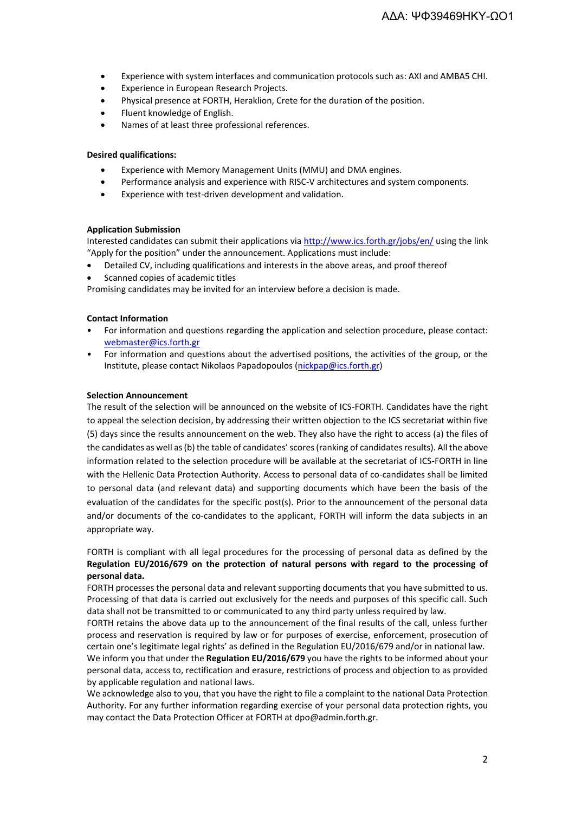- Experience with system interfaces and communication protocols such as: AXI and AMBA5 CHI.
- **•** Experience in European Research Projects.
- Physical presence at FORTH, Heraklion, Crete for the duration of the position.
- Fluent knowledge of English.
- Names of at least three professional references.

## **Desired qualifications:**

- Experience with Memory Management Units (MMU) and DMA engines.
- Performance analysis and experience with RISC‐V architectures and system components.
- Experience with test‐driven development and validation.

## **Application Submission**

Interested candidates can submit their applications vi[a http://www.ics.forth.gr/jobs/en/](http://www.ics.forth.gr/jobs/en/) using the link "[Apply for the position](http://www.ics.forth.gr/index_main.php?l=e&c=720&possition_id=1098)" under the announcement. Applications must include:

- Detailed CV, including qualifications and interests in the above areas, and proof thereof
- Scanned copies of academic titles

Promising candidates may be invited for an interview before a decision is made.

## **Contact Information**

- For information and questions regarding the application and selection procedure, please contact: [webmaster@ics.forth.gr](mailto:webmaster@ics.forth.gr)
- For information and questions about the advertised positions, the activities of the group, or the Institute, please contact Nikolaos Papadopoulos [\(nickpap@ics.forth.gr\)](mailto:nickpap@ics.forth.gr)

## **Selection Announcement**

The result of the selection will be announced on the website of ICS-FORTH. Candidates have the right to appeal the selection decision, by addressing their written objection to the ICS secretariat within five (5) days since the results announcement on the web. They also have the right to access (a) the files of the candidates as well as (b) the table of candidates' scores (ranking of candidates results). All the above information related to the selection procedure will be available at the secretariat of ICS-FORTH in line with the Hellenic Data Protection Authority. Access to personal data of co-candidates shall be limited to personal data (and relevant data) and supporting documents which have been the basis of the evaluation of the candidates for the specific post(s). Prior to the announcement of the personal data and/or documents of the co-candidates to the applicant, FORTH will inform the data subjects in an appropriate way.

FORTH is compliant with all legal procedures for the processing of personal data as defined by the **Regulation EU/2016/679 on the protection of natural persons with regard to the processing of personal data.** 

FORTH processes the personal data and relevant supporting documents that you have submitted to us. Processing of that data is carried out exclusively for the needs and purposes of this specific call. Such data shall not be transmitted to or communicated to any third party unless required by law.

FORTH retains the above data up to the announcement of the final results of the call, unless further process and reservation is required by law or for purposes of exercise, enforcement, prosecution of certain one's legitimate legal rights' as defined in the Regulation EU/2016/679 and/or in national law.

We inform you that under the **Regulation EU/2016/679** you have the rights to be informed about your personal data, access to, rectification and erasure, restrictions of process and objection to as provided by applicable regulation and national laws.

We acknowledge also to you, that you have the right to file a complaint to the national Data Protection Authority. For any further information regarding exercise of your personal data protection rights, you may contact the Data Protection Officer at FORTH at dpo@admin.forth.gr.